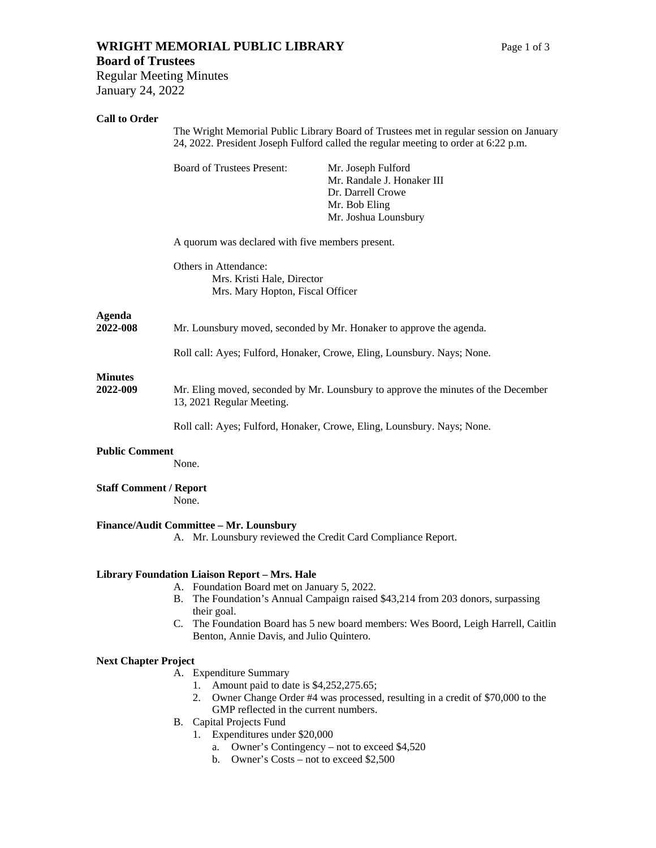# **WRIGHT MEMORIAL PUBLIC LIBRARY** Page 1 of 3

# **Board of Trustees**

Regular Meeting Minutes January 24, 2022

## **Call to Order**

|                               | The Wright Memorial Public Library Board of Trustees met in regular session on January<br>24, 2022. President Joseph Fulford called the regular meeting to order at 6:22 p.m. |                                                                                                                |
|-------------------------------|-------------------------------------------------------------------------------------------------------------------------------------------------------------------------------|----------------------------------------------------------------------------------------------------------------|
|                               | <b>Board of Trustees Present:</b>                                                                                                                                             | Mr. Joseph Fulford<br>Mr. Randale J. Honaker III<br>Dr. Darrell Crowe<br>Mr. Bob Eling<br>Mr. Joshua Lounsbury |
|                               | A quorum was declared with five members present.                                                                                                                              |                                                                                                                |
|                               | Others in Attendance:<br>Mrs. Kristi Hale, Director<br>Mrs. Mary Hopton, Fiscal Officer                                                                                       |                                                                                                                |
| Agenda<br>2022-008            | Mr. Lounsbury moved, seconded by Mr. Honaker to approve the agenda.                                                                                                           |                                                                                                                |
|                               | Roll call: Ayes; Fulford, Honaker, Crowe, Eling, Lounsbury. Nays; None.                                                                                                       |                                                                                                                |
| <b>Minutes</b><br>2022-009    | Mr. Eling moved, seconded by Mr. Lounsbury to approve the minutes of the December<br>13, 2021 Regular Meeting.                                                                |                                                                                                                |
|                               | Roll call: Ayes; Fulford, Honaker, Crowe, Eling, Lounsbury. Nays; None.                                                                                                       |                                                                                                                |
| <b>Public Comment</b>         | None.                                                                                                                                                                         |                                                                                                                |
| <b>Staff Comment / Report</b> | None.                                                                                                                                                                         |                                                                                                                |
|                               | Finance/Audit Committee - Mr. Lounsbury                                                                                                                                       | A. Mr. Lounsbury reviewed the Credit Card Compliance Report.                                                   |
|                               | <b>Library Foundation Liaison Report - Mrs. Hale</b><br>A. Foundation Board met on January 5, 2022.                                                                           | B. The Foundation's Annual Campaign raised \$43,214 from 203 donors, surpassing                                |
|                               | their goal.<br>C.<br>Benton, Annie Davis, and Julio Quintero.                                                                                                                 | The Foundation Board has 5 new board members: Wes Boord, Leigh Harrell, Caitlin                                |
| <b>Next Chapter Project</b>   |                                                                                                                                                                               |                                                                                                                |
|                               | A. Expenditure Summary<br>Amount paid to date is \$4,252,275.65;<br>1.<br>2.<br>GMP reflected in the current numbers.                                                         | Owner Change Order #4 was processed, resulting in a credit of \$70,000 to the                                  |
|                               | Capital Projects Fund<br>В.                                                                                                                                                   |                                                                                                                |

- 1. Expenditures under \$20,000
	- a. Owner's Contingency not to exceed \$4,520
	- b. Owner's Costs not to exceed \$2,500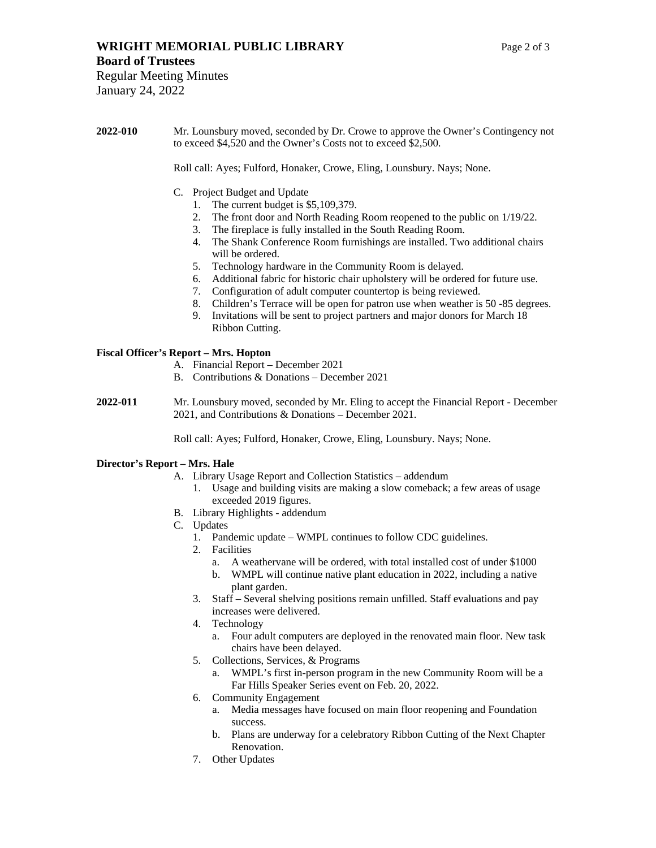## **WRIGHT MEMORIAL PUBLIC LIBRARY** Page 2 of 3

Roll call: Ayes; Fulford, Honaker, Crowe, Eling, Lounsbury. Nays; None.

- C. Project Budget and Update
	- 1. The current budget is \$5,109,379.
	- 2. The front door and North Reading Room reopened to the public on 1/19/22.
	- 3. The fireplace is fully installed in the South Reading Room.
	- 4. The Shank Conference Room furnishings are installed. Two additional chairs will be ordered.
	- 5. Technology hardware in the Community Room is delayed.
	- 6. Additional fabric for historic chair upholstery will be ordered for future use.
	- 7. Configuration of adult computer countertop is being reviewed.
	- 8. Children's Terrace will be open for patron use when weather is 50 -85 degrees.
	- 9. Invitations will be sent to project partners and major donors for March 18 Ribbon Cutting.

### **Fiscal Officer's Report – Mrs. Hopton**

- A. Financial Report December 2021
- B. Contributions & Donations December 2021
- **2022-011** Mr. Lounsbury moved, seconded by Mr. Eling to accept the Financial Report December 2021, and Contributions & Donations – December 2021.

Roll call: Ayes; Fulford, Honaker, Crowe, Eling, Lounsbury. Nays; None.

#### **Director's Report – Mrs. Hale**

- A. Library Usage Report and Collection Statistics addendum
	- 1. Usage and building visits are making a slow comeback; a few areas of usage exceeded 2019 figures.
- B. Library Highlights addendum
- C. Updates
	- 1. Pandemic update WMPL continues to follow CDC guidelines.
	- 2. Facilities
		- a. A weathervane will be ordered, with total installed cost of under \$1000
		- b. WMPL will continue native plant education in 2022, including a native plant garden.
	- 3. Staff Several shelving positions remain unfilled. Staff evaluations and pay increases were delivered.
	- 4. Technology
		- a. Four adult computers are deployed in the renovated main floor. New task chairs have been delayed.
	- 5. Collections, Services, & Programs
		- a. WMPL's first in-person program in the new Community Room will be a Far Hills Speaker Series event on Feb. 20, 2022.
	- 6. Community Engagement
		- a. Media messages have focused on main floor reopening and Foundation success.
		- b. Plans are underway for a celebratory Ribbon Cutting of the Next Chapter Renovation.
	- 7. Other Updates